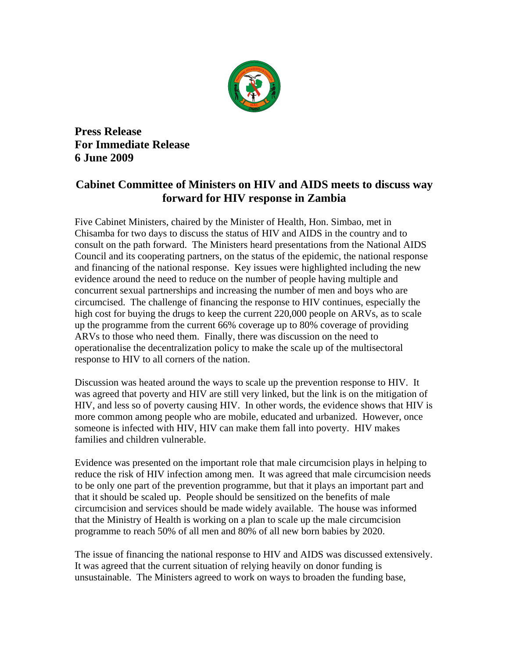

**Press Release For Immediate Release 6 June 2009** 

## **Cabinet Committee of Ministers on HIV and AIDS meets to discuss way forward for HIV response in Zambia**

Five Cabinet Ministers, chaired by the Minister of Health, Hon. Simbao, met in Chisamba for two days to discuss the status of HIV and AIDS in the country and to consult on the path forward. The Ministers heard presentations from the National AIDS Council and its cooperating partners, on the status of the epidemic, the national response and financing of the national response. Key issues were highlighted including the new evidence around the need to reduce on the number of people having multiple and concurrent sexual partnerships and increasing the number of men and boys who are circumcised. The challenge of financing the response to HIV continues, especially the high cost for buying the drugs to keep the current 220,000 people on ARVs, as to scale up the programme from the current 66% coverage up to 80% coverage of providing ARVs to those who need them. Finally, there was discussion on the need to operationalise the decentralization policy to make the scale up of the multisectoral response to HIV to all corners of the nation.

Discussion was heated around the ways to scale up the prevention response to HIV. It was agreed that poverty and HIV are still very linked, but the link is on the mitigation of HIV, and less so of poverty causing HIV. In other words, the evidence shows that HIV is more common among people who are mobile, educated and urbanized. However, once someone is infected with HIV, HIV can make them fall into poverty. HIV makes families and children vulnerable.

Evidence was presented on the important role that male circumcision plays in helping to reduce the risk of HIV infection among men. It was agreed that male circumcision needs to be only one part of the prevention programme, but that it plays an important part and that it should be scaled up. People should be sensitized on the benefits of male circumcision and services should be made widely available. The house was informed that the Ministry of Health is working on a plan to scale up the male circumcision programme to reach 50% of all men and 80% of all new born babies by 2020.

The issue of financing the national response to HIV and AIDS was discussed extensively. It was agreed that the current situation of relying heavily on donor funding is unsustainable. The Ministers agreed to work on ways to broaden the funding base,